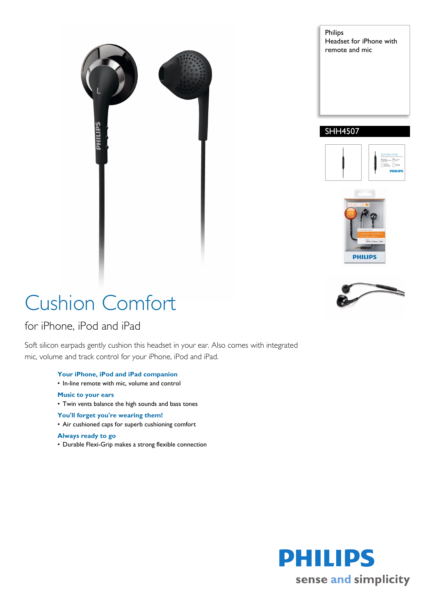

Philips Headset for iPhone with remote and mic

### SHH4507





# Cushion Comfort

### for iPhone, iPod and iPad

Soft silicon earpads gently cushion this headset in your ear. Also comes with integrated mic, volume and track control for your iPhone, iPod and iPad.

- **Your iPhone, iPod and iPad companion**
- In-line remote with mic, volume and control
- **Music to your ears**
- Twin vents balance the high sounds and bass tones
- **You'll forget you're wearing them!**
- Air cushioned caps for superb cushioning comfort

#### **Always ready to go**

• Durable Flexi-Grip makes a strong flexible connection